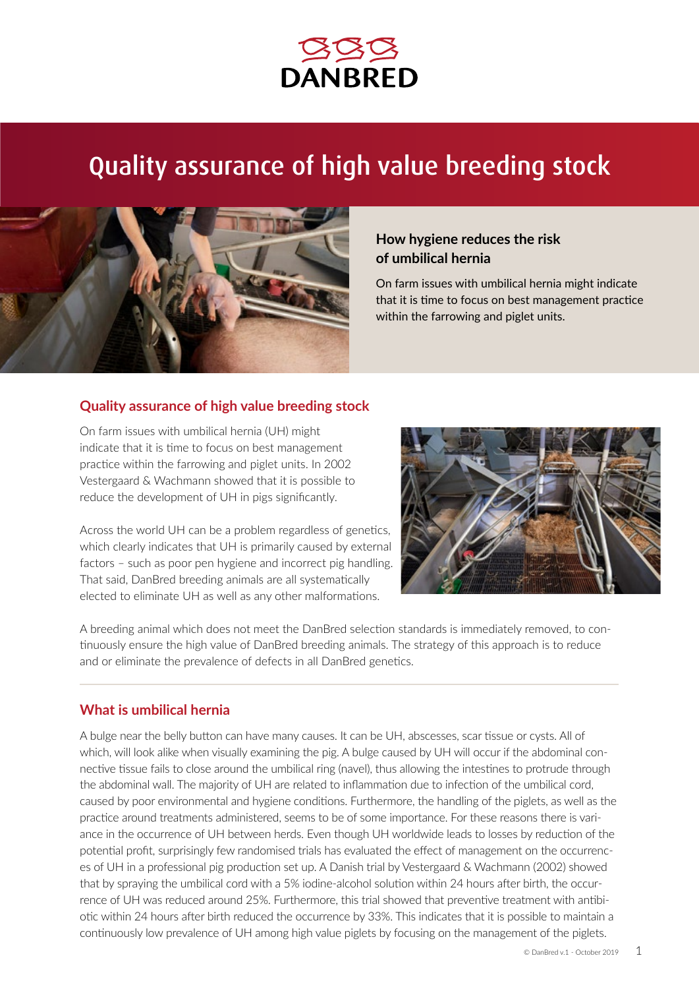

# Quality assurance of high value breeding stock



# **How hygiene reduces the risk of umbilical hernia**

On farm issues with umbilical hernia might indicate that it is time to focus on best management practice within the farrowing and piglet units.

#### **Quality assurance of high value breeding stock**

On farm issues with umbilical hernia (UH) might indicate that it is time to focus on best management practice within the farrowing and piglet units. In 2002 Vestergaard & Wachmann showed that it is possible to reduce the development of UH in pigs significantly.

Across the world UH can be a problem regardless of genetics, which clearly indicates that UH is primarily caused by external factors – such as poor pen hygiene and incorrect pig handling. That said, DanBred breeding animals are all systematically elected to eliminate UH as well as any other malformations.



A breeding animal which does not meet the DanBred selection standards is immediately removed, to continuously ensure the high value of DanBred breeding animals. The strategy of this approach is to reduce and or eliminate the prevalence of defects in all DanBred genetics.

### **What is umbilical hernia**

A bulge near the belly button can have many causes. It can be UH, abscesses, scar tissue or cysts. All of which, will look alike when visually examining the pig. A bulge caused by UH will occur if the abdominal connective tissue fails to close around the umbilical ring (navel), thus allowing the intestines to protrude through the abdominal wall. The majority of UH are related to inflammation due to infection of the umbilical cord, caused by poor environmental and hygiene conditions. Furthermore, the handling of the piglets, as well as the practice around treatments administered, seems to be of some importance. For these reasons there is variance in the occurrence of UH between herds. Even though UH worldwide leads to losses by reduction of the potential profit, surprisingly few randomised trials has evaluated the effect of management on the occurrences of UH in a professional pig production set up. A Danish trial by Vestergaard & Wachmann (2002) showed that by spraying the umbilical cord with a 5% iodine-alcohol solution within 24 hours after birth, the occurrence of UH was reduced around 25%. Furthermore, this trial showed that preventive treatment with antibiotic within 24 hours after birth reduced the occurrence by 33%. This indicates that it is possible to maintain a continuously low prevalence of UH among high value piglets by focusing on the management of the piglets.